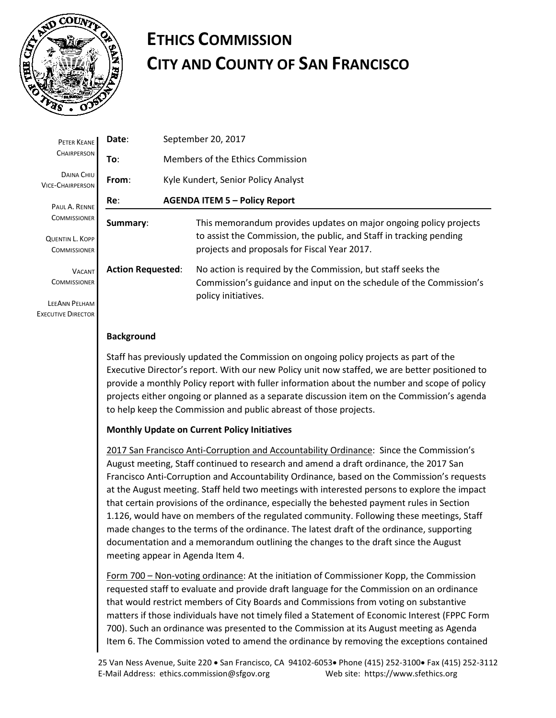

 $I$ FFA **EXECUTI** 

## **ETHICS COMMISSION CITY AND COUNTY OF SAN FRANCISCO**

| PETER KEANE                                                                       | Date:                    |                                      | September 20, 2017                                                                                                                                                                       |  |  |  |  |  |  |
|-----------------------------------------------------------------------------------|--------------------------|--------------------------------------|------------------------------------------------------------------------------------------------------------------------------------------------------------------------------------------|--|--|--|--|--|--|
| <b>CHAIRPERSON</b>                                                                | To:                      | Members of the Ethics Commission     |                                                                                                                                                                                          |  |  |  |  |  |  |
| <b>DAINA CHIU</b><br><b>VICE-CHAIRPERSON</b>                                      | From:                    | Kyle Kundert, Senior Policy Analyst  |                                                                                                                                                                                          |  |  |  |  |  |  |
| PAUL A. RENNE                                                                     | Re:                      | <b>AGENDA ITEM 5 - Policy Report</b> |                                                                                                                                                                                          |  |  |  |  |  |  |
| <b>COMMISSIONER</b><br>QUENTIN L. KOPP<br><b>COMMISSIONER</b>                     | Summary:                 |                                      | This memorandum provides updates on major ongoing policy projects<br>to assist the Commission, the public, and Staff in tracking pending<br>projects and proposals for Fiscal Year 2017. |  |  |  |  |  |  |
| <b>VACANT</b><br><b>COMMISSIONER</b><br>LEEANN PELHAM<br><b>XECUTIVE DIRECTOR</b> | <b>Action Requested:</b> |                                      | No action is required by the Commission, but staff seeks the<br>Commission's guidance and input on the schedule of the Commission's<br>policy initiatives.                               |  |  |  |  |  |  |

## **Background**

Staff has previously updated the Commission on ongoing policy projects as part of the Executive Director's report. With our new Policy unit now staffed, we are better positioned to provide a monthly Policy report with fuller information about the number and scope of policy projects either ongoing or planned as a separate discussion item on the Commission's agenda to help keep the Commission and public abreast of those projects.

## **Monthly Update on Current Policy Initiatives**

2017 San Francisco Anti-Corruption and Accountability Ordinance: Since the Commission's August meeting, Staff continued to research and amend a draft ordinance, the 2017 San Francisco Anti-Corruption and Accountability Ordinance, based on the Commission's requests at the August meeting. Staff held two meetings with interested persons to explore the impact that certain provisions of the ordinance, especially the behested payment rules in Section 1.126, would have on members of the regulated community. Following these meetings, Staff made changes to the terms of the ordinance. The latest draft of the ordinance, supporting documentation and a memorandum outlining the changes to the draft since the August meeting appear in Agenda Item 4.

Form 700 – Non-voting ordinance: At the initiation of Commissioner Kopp, the Commission requested staff to evaluate and provide draft language for the Commission on an ordinance that would restrict members of City Boards and Commissions from voting on substantive matters if those individuals have not timely filed a Statement of Economic Interest (FPPC Form 700). Such an ordinance was presented to the Commission at its August meeting as Agenda Item 6. The Commission voted to amend the ordinance by removing the exceptions contained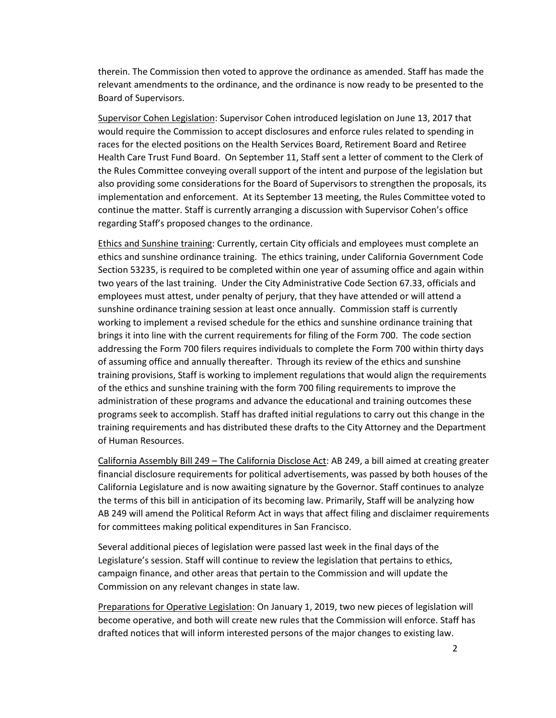therein. The Commission then voted to approve the ordinance as amended. Staff has made the relevant amendments to the ordinance, and the ordinance is now ready to be presented to the Board of Supervisors.

Supervisor Cohen Legislation: Supervisor Cohen introduced legislation on June 13, 2017 that would require the Commission to accept disclosures and enforce rules related to spending in races for the elected positions on the Health Services Board, Retirement Board and Retiree Health Care Trust Fund Board. On September 11, Staff sent a letter of comment to the Clerk of the Rules Committee conveying overall support of the intent and purpose of the legislation but also providing some considerations for the Board of Supervisors to strengthen the proposals, its implementation and enforcement. At its September 13 meeting, the Rules Committee voted to continue the matter. Staff is currently arranging a discussion with Supervisor Cohen's office regarding Staff's proposed changes to the ordinance.

Ethics and Sunshine training: Currently, certain City officials and employees must complete an ethics and sunshine ordinance training. The ethics training, under California Government Code Section 53235, is required to be completed within one year of assuming office and again within two years of the last training. Under the City Administrative Code Section 67.33, officials and employees must attest, under penalty of perjury, that they have attended or will attend a sunshine ordinance training session at least once annually. Commission staff is currently working to implement a revised schedule for the ethics and sunshine ordinance training that brings it into line with the current requirements for filing of the Form 700. The code section addressing the Form 700 filers requires individuals to complete the Form 700 within thirty days of assuming office and annually thereafter. Through its review of the ethics and sunshine training provisions, Staff is working to implement regulations that would align the requirements of the ethics and sunshine training with the form 700 filing requirements to improve the administration of these programs and advance the educational and training outcomes these programs seek to accomplish. Staff has drafted initial regulations to carry out this change in the training requirements and has distributed these drafts to the City Attorney and the Department of Human Resources.

California Assembly Bill 249 – The California Disclose Act: AB 249, a bill aimed at creating greater financial disclosure requirements for political advertisements, was passed by both houses of the California Legislature and is now awaiting signature by the Governor. Staff continues to analyze the terms of this bill in anticipation of its becoming law. Primarily, Staff will be analyzing how AB 249 will amend the Political Reform Act in ways that affect filing and disclaimer requirements for committees making political expenditures in San Francisco.

Several additional pieces of legislation were passed last week in the final days of the Legislature's session. Staff will continue to review the legislation that pertains to ethics, campaign finance, and other areas that pertain to the Commission and will update the Commission on any relevant changes in state law.

Preparations for Operative Legislation: On January 1, 2019, two new pieces of legislation will become operative, and both will create new rules that the Commission will enforce. Staff has drafted notices that will inform interested persons of the major changes to existing law.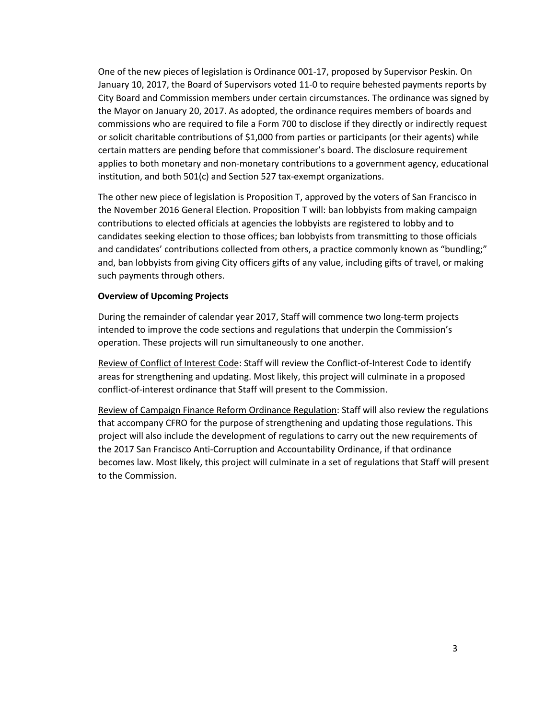One of the new pieces of legislation is Ordinance 001-17, proposed by Supervisor Peskin. On January 10, 2017, the Board of Supervisors voted 11-0 to require behested payments reports by City Board and Commission members under certain circumstances. The ordinance was signed by the Mayor on January 20, 2017. As adopted, the ordinance requires members of boards and commissions who are required to file a Form 700 to disclose if they directly or indirectly request or solicit charitable contributions of \$1,000 from parties or participants (or their agents) while certain matters are pending before that commissioner's board. The disclosure requirement applies to both monetary and non-monetary contributions to a government agency, educational institution, and both 501(c) and Section 527 tax-exempt organizations.

The other new piece of legislation is Proposition T, approved by the voters of San Francisco in the November 2016 General Election. Proposition T will: ban lobbyists from making campaign contributions to elected officials at agencies the lobbyists are registered to lobby and to candidates seeking election to those offices; ban lobbyists from transmitting to those officials and candidates' contributions collected from others, a practice commonly known as "bundling;" and, ban lobbyists from giving City officers gifts of any value, including gifts of travel, or making such payments through others.

## **Overview of Upcoming Projects**

During the remainder of calendar year 2017, Staff will commence two long-term projects intended to improve the code sections and regulations that underpin the Commission's operation. These projects will run simultaneously to one another.

Review of Conflict of Interest Code: Staff will review the Conflict-of-Interest Code to identify areas for strengthening and updating. Most likely, this project will culminate in a proposed conflict-of-interest ordinance that Staff will present to the Commission.

Review of Campaign Finance Reform Ordinance Regulation: Staff will also review the regulations that accompany CFRO for the purpose of strengthening and updating those regulations. This project will also include the development of regulations to carry out the new requirements of the 2017 San Francisco Anti-Corruption and Accountability Ordinance, if that ordinance becomes law. Most likely, this project will culminate in a set of regulations that Staff will present to the Commission.